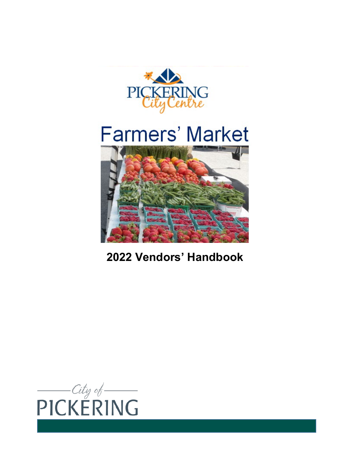





# **Vendors' Handbook**

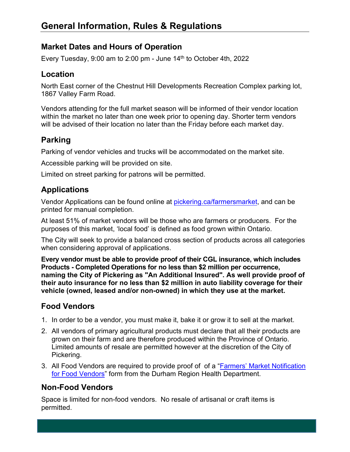# **Market Dates and Hours of Operation**

Every Tuesday, 9:00 am to 2:00 pm - June 14<sup>th</sup> to October 4th, 2022

#### **Location**

North East corner of the Chestnut Hill Developments Recreation Complex parking lot, 1867 Valley Farm Road.

Vendors attending for the full market season will be informed of their vendor location within the market no later than one week prior to opening day. Shorter term vendors will be advised of their location no later than the Friday before each market day.

### **Parking**

Parking of vendor vehicles and trucks will be accommodated on the market site.

Accessible parking will be provided on site.

Limited on street parking for patrons will be permitted.

### **Applications**

Vendor Applications can be found online at [pickering.ca/farmersmarket,](https://www.pickering.ca/en/discovering/farmersmarketvendors.asp) and can be printed for manual completion.

At least 51% of market vendors will be those who are farmers or producers. For the purposes of this market, 'local food' is defined as food grown within Ontario.

The City will seek to provide a balanced cross section of products across all categories when considering approval of applications.

**Every vendor must be able to provide proof of their CGL insurance, which includes Products - Completed Operations for no less than \$2 million per occurrence, naming the City of Pickering as "An Additional Insured". As well provide proof of their auto insurance for no less than \$2 million in auto liability coverage for their vehicle (owned, leased and/or non-owned) in which they use at the market.** 

# **Food Vendors**

- 1. In order to be a vendor, you must make it, bake it or grow it to sell at the market.
- 2. All vendors of primary agricultural products must declare that all their products are grown on their farm and are therefore produced within the Province of Ontario. Limited amounts of resale are permitted however at the discretion of the City of Pickering.
- 3. [All Food Vendors](https://www.durham.ca/en/health-and-wellness/resources/Documents/PublicHealthInspectionsandInvestigations/duhev279FarmersMarket.pdf) are required to provide proof of of a "**Farmers' Market Notification** for Food Vendors" form from the Durham Region Health Department.

#### **Non-Food Vendors**

Space is limited for non-food vendors. No resale of artisanal or craft items is permitted.